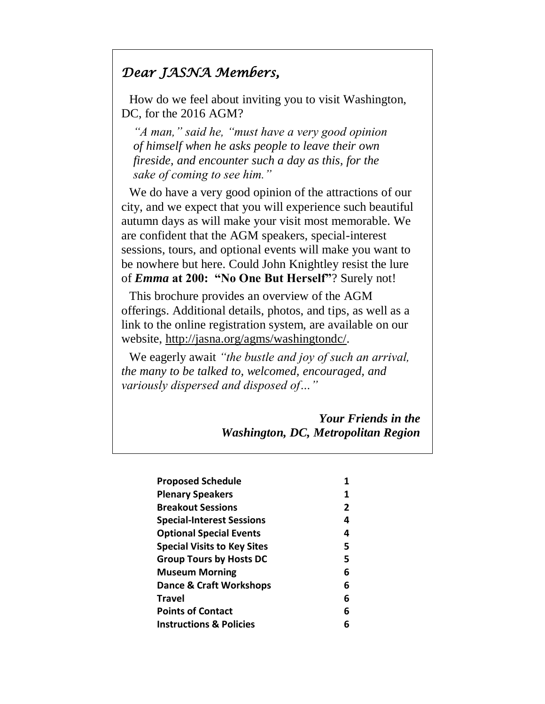# *Dear JASNA Members,*

How do we feel about inviting you to visit Washington, DC, for the 2016 AGM?

*"A man," said he, "must have a very good opinion of himself when he asks people to leave their own fireside, and encounter such a day as this, for the sake of coming to see him."*

We do have a very good opinion of the attractions of our city, and we expect that you will experience such beautiful autumn days as will make your visit most memorable. We are confident that the AGM speakers, special-interest sessions, tours, and optional events will make you want to be nowhere but here. Could John Knightley resist the lure of *Emma* **at 200: "No One But Herself"**? Surely not!

This brochure provides an overview of the AGM offerings. Additional details, photos, and tips, as well as a link to the online registration system, are available on our website, [http://jasna.org/agms/washingtondc/.](http://jasna.org/agms/washingtondc/)

We eagerly await *"the bustle and joy of such an arrival, the many to be talked to, welcomed, encouraged, and variously dispersed and disposed of…"*

> *Your Friends in the Washington, DC, Metropolitan Region*

| <b>Proposed Schedule</b>           | 1              |
|------------------------------------|----------------|
| <b>Plenary Speakers</b>            | 1              |
| <b>Breakout Sessions</b>           | $\overline{2}$ |
| <b>Special-Interest Sessions</b>   | 4              |
| <b>Optional Special Events</b>     | 4              |
| <b>Special Visits to Key Sites</b> | 5              |
| <b>Group Tours by Hosts DC</b>     | 5              |
| <b>Museum Morning</b>              | 6              |
| Dance & Craft Workshops            | 6              |
| <b>Travel</b>                      | 6              |
| <b>Points of Contact</b>           | 6              |
| <b>Instructions &amp; Policies</b> | 6              |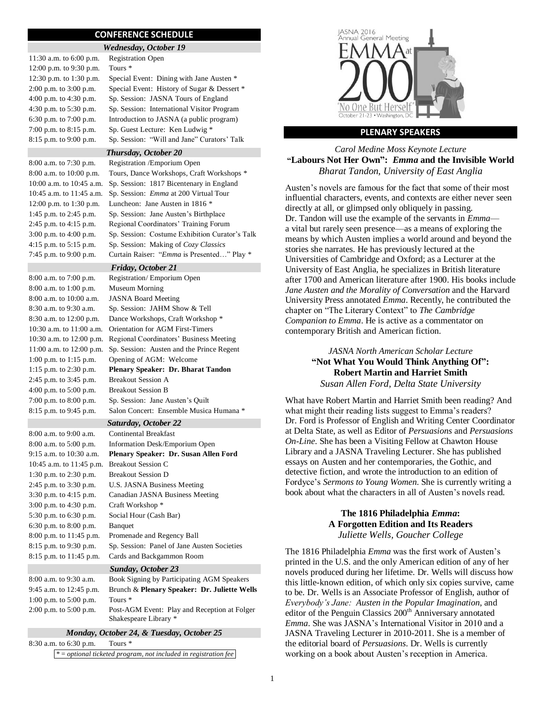#### **CONFERENCE SCHEDULE**

| <b>Wednesday, October 19</b> |                                             |  |
|------------------------------|---------------------------------------------|--|
| 11:30 a.m. to $6:00$ p.m.    | <b>Registration Open</b>                    |  |
| 12:00 p.m. to 9:30 p.m.      | Tours <sup>*</sup>                          |  |
| 12:30 p.m. to 1:30 p.m.      | Special Event: Dining with Jane Austen *    |  |
| 2:00 p.m. to 3:00 p.m.       | Special Event: History of Sugar & Dessert * |  |
| 4:00 p.m. to 4:30 p.m.       | Sp. Session: JASNA Tours of England         |  |
| 4:30 p.m. to 5:30 p.m.       | Sp. Session: International Visitor Program  |  |
| 6:30 p.m. to $7:00$ p.m.     | Introduction to JASNA (a public program)    |  |
| 7:00 p.m. to 8:15 p.m.       | Sp. Guest Lecture: Ken Ludwig *             |  |
| 8:15 p.m. to 9:00 p.m.       | Sp. Session: "Will and Jane" Curators' Talk |  |
|                              |                                             |  |

*Thursday, October 20* 8:00 a.m. to 7:30 p.m. Registration /Emporium Open

*Friday, October 21*

| 8.00 a.m. to 7.30 p.m.      | Registration /Emporium Open                        |
|-----------------------------|----------------------------------------------------|
| $8:00$ a.m. to $10:00$ p.m. | Tours, Dance Workshops, Craft Workshops *          |
| 10:00 a.m. to 10:45 a.m.    | Sp. Session: 1817 Bicentenary in England           |
| 10:45 a.m. to 11:45 a.m.    | Sp. Session: <i>Emma</i> at 200 Virtual Tour       |
| 12:00 p.m. to 1:30 p.m.     | Luncheon: Jane Austen in 1816 *                    |
| 1:45 p.m. to 2:45 p.m.      | Sp. Session: Jane Austen's Birthplace              |
| 2:45 p.m. to $4:15$ p.m.    | Regional Coordinators' Training Forum              |
| $3:00$ p.m. to $4:00$ p.m.  | Sp. Session: Costume Exhibition Curator's Talk     |
| 4:15 p.m. to $5:15$ p.m.    | Sp. Session: Making of Cozy Classics               |
| 7:45 p.m. to 9:00 p.m.      | Curtain Raiser: " <i>Emma</i> is Presented" Play * |

8:00 a.m. to 7:00 p.m. Registration/ Emporium Open 8:00 a.m. to 1:00 p.m. Museum Morning 8:00 a.m. to 10:00 a.m. JASNA Board Meeting 8:30 a.m. to 9:30 a.m. Sp. Session: JAHM Show & Tell 8:30 a.m. to 12:00 p.m. Dance Workshops, Craft Workshop \* 10:30 a.m. to 11:00 a.m. Orientation for AGM First-Timers 10:30 a.m. to 12:00 p.m. Regional Coordinators' Business Meeting 11:00 a.m. to 12:00 p.m. Sp. Session: Austen and the Prince Regent 1:00 p.m. to 1:15 p.m. Opening of AGM: Welcome 1:15 p.m. to 2:30 p.m. **Plenary Speaker: Dr. Bharat Tandon** 2:45 p.m. to 3:45 p.m. Breakout Session A

4:00 p.m. to 5:00 p.m. Breakout Session B 7:00 p.m. to 8:00 p.m. Sp. Session: Jane Austen's Quilt 8:15 p.m. to 9:45 p.m. Salon Concert: Ensemble Musica Humana \* *Saturday, October 22* 8:00 a.m. to 9:00 a.m. Continental Breakfast 8:00 a.m. to 5:00 p.m. Information Desk/Emporium Open 9:15 a.m. to 10:30 a.m. **Plenary Speaker: Dr. Susan Allen Ford** 10:45 a.m. to 11:45 p.m. Breakout Session C 1:30 p.m. to 2:30 p.m. Breakout Session D 2:45 p.m. to 3:30 p.m. U.S. JASNA Business Meeting 3:30 p.m. to 4:15 p.m. Canadian JASNA Business Meeting 3:00 p.m. to 4:30 p.m. Craft Workshop \* 5:30 p.m. to 6:30 p.m. Social Hour (Cash Bar) 6:30 p.m. to 8:00 p.m. Banquet 8:00 p.m. to 11:45 p.m. Promenade and Regency Ball 8:15 p.m. to 9:30 p.m. Sp. Session: Panel of Jane Austen Societies 8:15 p.m. to 11:45 p.m. Cards and Backgammon Room

#### *Sunday, October 23*

| 8:00 a.m. to 9:30 a.m.   | Book Signing by Participating AGM Speakers   |
|--------------------------|----------------------------------------------|
| 9:45 a.m. to 12:45 p.m.  | Brunch & Plenary Speaker: Dr. Juliette Wells |
| 1:00 p.m. to $5:00$ p.m. | Tours <sup>*</sup>                           |
| $2:00$ p.m. to 5:00 p.m. | Post-AGM Event: Play and Reception at Folger |
|                          | Shakespeare Library *                        |

#### *Monday, October 24, & Tuesday, October 25*

8:30 a.m. to 6:30 p.m. Tours \* \* = *optional ticketed program, not included in registration fee*



#### **PLENARY SPEAKERS**

#### *Carol Medine Moss Keynote Lecture* **"Labours Not Her Own":** *Emma* **and the Invisible World** *Bharat Tandon, University of East Anglia*

Austen's novels are famous for the fact that some of their most influential characters, events, and contexts are either never seen directly at all, or glimpsed only obliquely in passing. Dr. Tandon will use the example of the servants in *Emma* a vital but rarely seen presence—as a means of exploring the means by which Austen implies a world around and beyond the stories she narrates. He has previously lectured at the Universities of Cambridge and Oxford; as a Lecturer at the University of East Anglia, he specializes in British literature after 1700 and American literature after 1900. His books include *Jane Austen and the Morality of Conversation* and the Harvard University Press annotated *Emma*. Recently, he contributed the chapter on "The Literary Context" to *The Cambridge Companion to Emma*. He is active as a commentator on contemporary British and American fiction.

# *JASNA North American Scholar Lecture* **"Not What You Would Think Anything Of": Robert Martin and Harriet Smith** *Susan Allen Ford, Delta State University*

What have Robert Martin and Harriet Smith been reading? And what might their reading lists suggest to Emma's readers? Dr. Ford is Professor of English and Writing Center Coordinator at Delta State, as well as Editor of *Persuasions* and *Persuasions On-Line*. She has been a Visiting Fellow at Chawton House Library and a JASNA Traveling Lecturer. She has published essays on Austen and her contemporaries, the Gothic, and detective fiction, and wrote the introduction to an edition of Fordyce's *Sermons to Young Women*. She is currently writing a book about what the characters in all of Austen's novels read.

#### **The 1816 Philadelphia** *Emma***: A Forgotten Edition and Its Readers** *Juliette Wells, Goucher College*

The 1816 Philadelphia *Emma* was the first work of Austen's printed in the U.S. and the only American edition of any of her novels produced during her lifetime. Dr. Wells will discuss how this little-known edition, of which only six copies survive, came to be. Dr. Wells is an Associate Professor of English, author of *Everybody's Jane: Austen in the Popular Imagination*, and editor of the Penguin Classics 200<sup>th</sup> Anniversary annotated *Emma*. She was JASNA's International Visitor in 2010 and a JASNA Traveling Lecturer in 2010-2011. She is a member of the editorial board of *Persuasions*. Dr. Wells is currently working on a book about Austen's reception in America.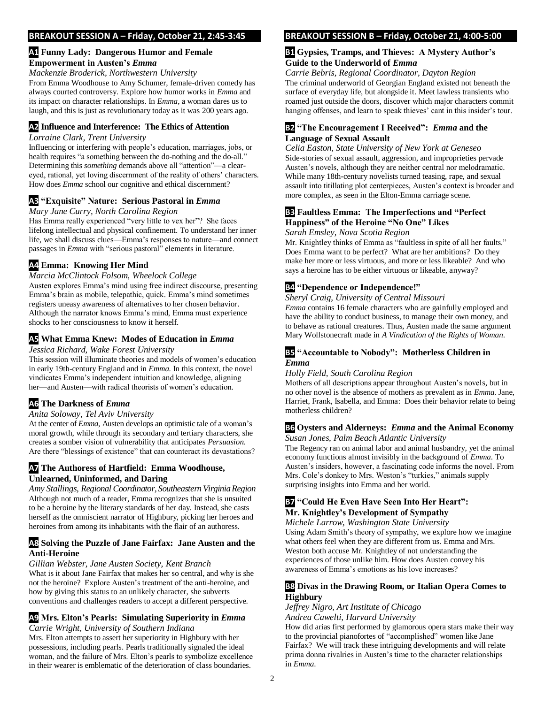#### **BREAKOUT SESSION A – Friday, October 21, 2:45-3:45**

#### **A1 Funny Lady: Dangerous Humor and Female Empowerment in Austen's** *Emma*

#### *Mackenzie Broderick, Northwestern University*

From Emma Woodhouse to Amy Schumer, female-driven comedy has always courted controversy. Explore how humor works in *Emma* and its impact on character relationships. In *Emma*, a woman dares us to laugh, and this is just as revolutionary today as it was 200 years ago.

## **A2 Influence and Interference: The Ethics of Attention**

#### *Lorraine Clark, Trent University*

Influencing or interfering with people's education, marriages, jobs, or health requires "a something between the do-nothing and the do-all." Determining this *something* demands above all "attention"—a cleareyed, rational, yet loving discernment of the reality of others' characters. How does *Emma* school our cognitive and ethical discernment?

# **A3 "Exquisite" Nature: Serious Pastoral in** *Emma*

#### *Mary Jane Curry, North Carolina Region*

Has Emma really experienced "very little to vex her"? She faces lifelong intellectual and physical confinement. To understand her inner life, we shall discuss clues—Emma's responses to nature—and connect passages in *Emma* with "serious pastoral" elements in literature.

# **A4 Emma: Knowing Her Mind**

*Marcia McClintock Folsom, Wheelock College* Austen explores Emma's mind using free indirect discourse, presenting Emma's brain as mobile, telepathic, quick. Emma's mind sometimes registers uneasy awareness of alternatives to her chosen behavior. Although the narrator knows Emma's mind, Emma must experience shocks to her consciousness to know it herself.

# **A5 What Emma Knew: Modes of Education in** *Emma*

#### *Jessica Richard, Wake Forest University*

This session will illuminate theories and models of women's education in early 19th-century England and in *Emma*. In this context, the novel vindicates Emma's independent intuition and knowledge, aligning her—and Austen—with radical theorists of women's education.

# **A6 The Darkness of** *Emma*

### *Anita Soloway, Tel Aviv University*

At the center of *Emma*, Austen develops an optimistic tale of a woman's moral growth, while through its secondary and tertiary characters, she creates a somber vision of vulnerability that anticipates *Persuasion*. Are there "blessings of existence" that can counteract its devastations?

# **A7 The Authoress of Hartfield: Emma Woodhouse, Unlearned, Uninformed, and Daring**

*Amy Stallings, Regional Coordinator, SoutheasternVirginiaRegion* Although not much of a reader, Emma recognizes that she is unsuited to be a heroine by the literary standards of her day. Instead, she casts herself as the omniscient narrator of Highbury, picking her heroes and heroines from among its inhabitants with the flair of an authoress.

# **A8 Solving the Puzzle of Jane Fairfax: Jane Austen and the Anti-Heroine**

#### *Gillian Webster, Jane Austen Society, Kent Branch*

What is it about Jane Fairfax that makes her so central, and why is she not the heroine? Explore Austen's treatment of the anti-heroine, and how by giving this status to an unlikely character, she subverts conventions and challenges readers to accept a different perspective.

# **A9 Mrs. Elton's Pearls: Simulating Superiority in** *Emma*

*Carrie Wright, University of Southern Indiana* Mrs. Elton attempts to assert her superiority in Highbury with her possessions, including pearls. Pearls traditionally signaled the ideal woman, and the failure of Mrs. Elton's pearls to symbolize excellence in their wearer is emblematic of the deterioration of class boundaries.

#### **BREAKOUT SESSION B – Friday, October 21, 4:00-5:00**

## **B1 Gypsies, Tramps, and Thieves: A Mystery Author's Guide to the Underworld of** *Emma*

*Carrie Bebris, Regional Coordinator, Dayton Region* The criminal underworld of Georgian England existed not beneath the surface of everyday life, but alongside it. Meet lawless transients who roamed just outside the doors, discover which major characters commit hanging offenses, and learn to speak thieves' cant in this insider's tour.

#### **B2 "The Encouragement I Received":** *Emma* **and the Language of Sexual Assault**

*Celia Easton, State University of New York at Geneseo* Side-stories of sexual assault, aggression, and improprieties pervade Austen's novels, although they are neither central nor melodramatic. While many 18th-century novelists turned teasing, rape, and sexual assault into titillating plot centerpieces, Austen's context is broader and more complex, as seen in the Elton-Emma carriage scene.

# **B3 Faultless Emma: The Imperfections and "Perfect Happiness" of the Heroine "No One" Likes**

### *Sarah Emsley, Nova Scotia Region*

Mr. Knightley thinks of Emma as "faultless in spite of all her faults." Does Emma want to be perfect? What are her ambitions? Do they make her more or less virtuous, and more or less likeable? And who says a heroine has to be either virtuous or likeable, anyway?

# **B4 "Dependence or Independence!"**

#### *Sheryl Craig, University of Central Missouri*

*Emma* contains 16 female characters who are gainfully employed and have the ability to conduct business, to manage their own money, and to behave as rational creatures. Thus, Austen made the same argument Mary Wollstonecraft made in *A Vindication of the Rights of Woman*.

### **B5 "Accountable to Nobody": Motherless Children in**  *Emma*

### *Holly Field, South Carolina Region*

Mothers of all descriptions appear throughout Austen's novels, but in no other novel is the absence of mothers as prevalent as in *Emma*. Jane, Harriet, Frank, Isabella, and Emma: Does their behavior relate to being motherless children?

# **B6 Oysters and Alderneys:** *Emma* **and the Animal Economy**

*Susan Jones, Palm Beach Atlantic University* The Regency ran on animal labor and animal husbandry, yet the animal economy functions almost invisibly in the background of *Emma*. To Austen's insiders, however, a fascinating code informs the novel. From Mrs. Cole's donkey to Mrs. Weston's "turkies," animals supply surprising insights into Emma and her world.

# **B7 "Could He Even Have Seen Into Her Heart": Mr. Knightley's Development of Sympathy**

#### *Michele Larrow, Washington State University*

Using Adam Smith's theory of sympathy, we explore how we imagine what others feel when they are different from us. Emma and Mrs. Weston both accuse Mr. Knightley of not understanding the experiences of those unlike him. How does Austen convey his awareness of Emma's emotions as his love increases?

# **B8 Divas in the Drawing Room, or Italian Opera Comes to Highbury**

*Jeffrey Nigro, Art Institute of Chicago Andrea Cawelti, Harvard University*

How did arias first performed by glamorous opera stars make their way to the provincial pianofortes of "accomplished" women like Jane Fairfax? We will track these intriguing developments and will relate prima donna rivalries in Austen's time to the character relationships in *Emma*.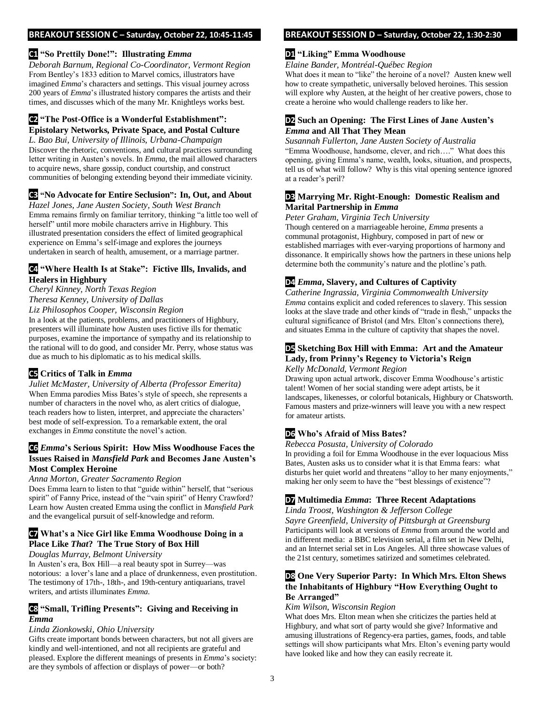#### **BREAKOUT SESSION C – Saturday, October 22, 10:45-11:45**

## **C1 "So Prettily Done!": Illustrating** *Emma*

*Deborah Barnum, Regional Co-Coordinator, Vermont Region* From Bentley's 1833 edition to Marvel comics, illustrators have imagined *Emma*'s characters and settings. This visual journey across 200 years of *Emma*'s illustrated history compares the artists and their times, and discusses which of the many Mr. Knightleys works best.

# **C2 "The Post-Office is a Wonderful Establishment": Epistolary Networks, Private Space, and Postal Culture**

*L. Bao Bui, University of Illinois, Urbana-Champaign* Discover the rhetoric, conventions, and cultural practices surrounding letter writing in Austen's novels. In *Emma*, the mail allowed characters to acquire news, share gossip, conduct courtship, and construct communities of belonging extending beyond their immediate vicinity.

# **C3 "No Advocate for Entire Seclusion": In, Out, and About**

*Hazel Jones, Jane Austen Society, South West Branch* Emma remains firmly on familiar territory, thinking "a little too well of herself" until more mobile characters arrive in Highbury. This illustrated presentation considers the effect of limited geographical experience on Emma's self-image and explores the journeys undertaken in search of health, amusement, or a marriage partner.

# **C4 "Where Health Is at Stake": Fictive Ills, Invalids, and Healers in Highbury**

*Cheryl Kinney, North Texas Region Theresa Kenney, University of Dallas Liz Philosophos Cooper, Wisconsin Region*

In a look at the patients, problems, and practitioners of Highbury, presenters will illuminate how Austen uses fictive ills for thematic purposes, examine the importance of sympathy and its relationship to the rational will to do good, and consider Mr. Perry, whose status was due as much to his diplomatic as to his medical skills.

# **C5 Critics of Talk in** *Emma*

*Juliet McMaster, University of Alberta (Professor Emerita)* When Emma parodies Miss Bates's style of speech, she represents a number of characters in the novel who, as alert critics of dialogue, teach readers how to listen, interpret, and appreciate the characters' best mode of self-expression. To a remarkable extent, the oral exchanges in *Emma* constitute the novel's action.

# **C6** *Emma***'s Serious Spirit: How Miss Woodhouse Faces the Issues Raised in** *Mansfield Park* **and Becomes Jane Austen's Most Complex Heroine**

#### *Anna Morton, Greater Sacramento Region*

Does Emma learn to listen to that "guide within" herself, that "serious spirit" of Fanny Price, instead of the "vain spirit" of Henry Crawford? Learn how Austen created Emma using the conflict in *Mansfield Park* and the evangelical pursuit of self-knowledge and reform.

# **C7 What's a Nice Girl like Emma Woodhouse Doing in a Place Like** *That***? The True Story of Box Hill**

# *Douglas Murray, Belmont University*

In Austen's era, Box Hill—a real beauty spot in Surrey—was notorious: a lover's lane and a place of drunkenness, even prostitution. The testimony of 17th-, 18th-, and 19th-century antiquarians, travel writers, and artists illuminates *Emma*.

# **C8 "Small, Trifling Presents": Giving and Receiving in**  *Emma*

# *Linda Zionkowski, Ohio University*

Gifts create important bonds between characters, but not all givers are kindly and well-intentioned, and not all recipients are grateful and pleased. Explore the different meanings of presents in *Emma*'s society: are they symbols of affection or displays of power—or both?

# **BREAKOUT SESSION D – Saturday, October 22, 1:30-2:30**

# **D1 "Liking" Emma Woodhouse**

*Elaine Bander, Montréal-Québec Region*

What does it mean to "like" the heroine of a novel? Austen knew well how to create sympathetic, universally beloved heroines. This session will explore why Austen, at the height of her creative powers, chose to create a heroine who would challenge readers to like her.

### **D2 Such an Opening: The First Lines of Jane Austen's**  *Emma* **and All That They Mean**

*Susannah Fullerton, Jane Austen Society of Australia* "Emma Woodhouse, handsome, clever, and rich…." What does this opening, giving Emma's name, wealth, looks, situation, and prospects, tell us of what will follow? Why is this vital opening sentence ignored at a reader's peril?

### **D3 Marrying Mr. Right-Enough: Domestic Realism and Marital Partnership in** *Emma*

*Peter Graham, Virginia Tech University*

Though centered on a marriageable heroine, *Emma* presents a communal protagonist, Highbury, composed in part of new or established marriages with ever-varying proportions of harmony and dissonance. It empirically shows how the partners in these unions help determine both the community's nature and the plotline's path.

# **D4** *Emma***, Slavery, and Cultures of Captivity**

*Catherine Ingrassia, Virginia Commonwealth University Emma* contains explicit and coded references to slavery. This session looks at the slave trade and other kinds of "trade in flesh," unpacks the cultural significance of Bristol (and Mrs. Elton's connections there), and situates Emma in the culture of captivity that shapes the novel.

# **D5 Sketching Box Hill with Emma: Art and the Amateur Lady, from Prinny's Regency to Victoria's Reign**

*Kelly McDonald, Vermont Region*

Drawing upon actual artwork, discover Emma Woodhouse's artistic talent! Women of her social standing were adept artists, be it landscapes, likenesses, or colorful botanicals, Highbury or Chatsworth. Famous masters and prize-winners will leave you with a new respect for amateur artists.

# **D6 Who's Afraid of Miss Bates?**

### *Rebecca Posusta, University of Colorado*

In providing a foil for Emma Woodhouse in the ever loquacious Miss Bates, Austen asks us to consider what it is that Emma fears: what disturbs her quiet world and threatens "alloy to her many enjoyments," making her only seem to have the "best blessings of existence"?

# **D7 Multimedia** *Emma***: Three Recent Adaptations**

*Linda Troost, Washington & Jefferson College Sayre Greenfield, University of Pittsburgh at Greensburg* Participants will look at versions of *Emma* from around the world and in different media: a BBC television serial, a film set in New Delhi, and an Internet serial set in Los Angeles. All three showcase values of the 21st century, sometimes satirized and sometimes celebrated.

# **D8 One Very Superior Party: In Which Mrs. Elton Shews the Inhabitants of Highbury "How Everything Ought to Be Arranged"**

### *Kim Wilson, Wisconsin Region*

What does Mrs. Elton mean when she criticizes the parties held at Highbury, and what sort of party would she give? Informative and amusing illustrations of Regency-era parties, games, foods, and table settings will show participants what Mrs. Elton's evening party would have looked like and how they can easily recreate it.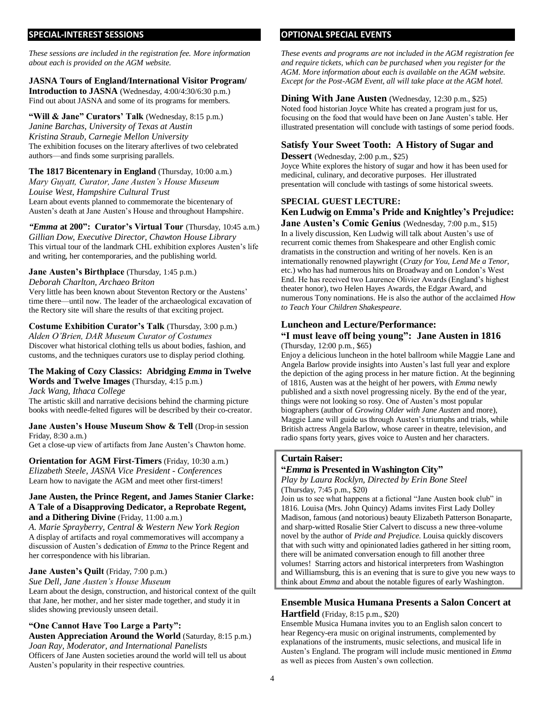#### **SPECIAL-INTEREST SESSIONS**

*These sessions are included in the registration fee. More information about each is provided on the AGM website.* 

#### **JASNA Tours of England/International Visitor Program/**

**Introduction to JASNA** (Wednesday, 4:00/4:30/6:30 p.m.) Find out about JASNA and some of its programs for members.

**"Will & Jane" Curators' Talk** (Wednesday, 8:15 p.m.) *Janine Barchas, University of Texas at Austin Kristina Straub, Carnegie Mellon University* The exhibition focuses on the literary afterlives of two celebrated authors—and finds some surprising parallels.

**The 1817 Bicentenary in England** (Thursday, 10:00 a.m.) *Mary Guyatt, Curator, Jane Austen's House Museum Louise West, Hampshire Cultural Trust* Learn about events planned to commemorate the bicentenary of Austen's death at Jane Austen's House and throughout Hampshire.

*"Emma* **at 200": Curator's Virtual Tour** (Thursday, 10:45 a.m.) *Gillian Dow, Executive Director, Chawton House Library* This virtual tour of the landmark CHL exhibition explores Austen's life and writing, her contemporaries, and the publishing world.

#### **Jane Austen's Birthplace** (Thursday, 1:45 p.m.)

*Deborah Charlton, Archaeo Briton*

Very little has been known about Steventon Rectory or the Austens' time there—until now. The leader of the archaeological excavation of the Rectory site will share the results of that exciting project.

# **Costume Exhibition Curator's Talk** (Thursday, 3:00 p.m.)

*Alden O'Brien, DAR Museum Curator of Costumes*  Discover what historical clothing tells us about bodies, fashion, and customs, and the techniques curators use to display period clothing.

# **The Making of Cozy Classics: Abridging** *Emma* **in Twelve Words and Twelve Images** (Thursday, 4:15 p.m.)

*Jack Wang, Ithaca College*

The artistic skill and narrative decisions behind the charming picture books with needle-felted figures will be described by their co-creator.

**Jane Austen's House Museum Show & Tell** (Drop-in session Friday, 8:30 a.m.)

Get a close-up view of artifacts from Jane Austen's Chawton home.

**Orientation for AGM First-Timers** (Friday, 10:30 a.m.) *Elizabeth Steele, JASNA Vice President - Conferences* Learn how to navigate the AGM and meet other first-timers!

#### **Jane Austen, the Prince Regent, and James Stanier Clarke: A Tale of a Disapproving Dedicator, a Reprobate Regent, and a Dithering Divine** (Friday, 11:00 a.m.)

*A. Marie Sprayberry, Central & Western New York Region* A display of artifacts and royal commemoratives will accompany a discussion of Austen's dedication of *Emma* to the Prince Regent and her correspondence with his librarian.

### **Jane Austen's Quilt** (Friday, 7:00 p.m.)

*Sue Dell, Jane Austen's House Museum*

Learn about the design, construction, and historical context of the quilt that Jane, her mother, and her sister made together, and study it in slides showing previously unseen detail.

### **"One Cannot Have Too Large a Party":**

**Austen Appreciation Around the World** (Saturday, 8:15 p.m.) *Joan Ray, Moderator, and International Panelists* Officers of Jane Austen societies around the world will tell us about Austen's popularity in their respective countries.

#### **OPTIONAL SPECIAL EVENTS**

*These events and programs are not included in the AGM registration fee and require tickets, which can be purchased when you register for the AGM. More information about each is available on the AGM website. Except for the Post-AGM Event, all will take place at the AGM hotel.*

#### **Dining With Jane Austen** (Wednesday, 12:30 p.m., \$25) Noted food historian Joyce White has created a program just for us, focusing on the food that would have been on Jane Austen's table. Her illustrated presentation will conclude with tastings of some period foods.

# **Satisfy Your Sweet Tooth: A History of Sugar and**

**Dessert** (Wednesday, 2:00 p.m., \$25)

Joyce White explores the history of sugar and how it has been used for medicinal, culinary, and decorative purposes. Her illustrated presentation will conclude with tastings of some historical sweets.

#### **SPECIAL GUEST LECTURE:**

# **Ken Ludwig on Emma's Pride and Knightley's Prejudice:**

**Jane Austen's Comic Genius** (Wednesday, 7:00 p.m., \$15) In a lively discussion, Ken Ludwig will talk about Austen's use of recurrent comic themes from Shakespeare and other English comic dramatists in the construction and writing of her novels. Ken is an internationally renowned playwright (*Crazy for You*, *Lend Me a Tenor*, etc.) who has had numerous hits on Broadway and on London's West End. He has received two Laurence Olivier Awards (England's highest theater honor), two Helen Hayes Awards, the Edgar Award, and numerous Tony nominations. He is also the author of the acclaimed *How to Teach Your Children Shakespeare*.

### **Luncheon and Lecture/Performance:**

#### **"I must leave off being young": Jane Austen in 1816** (Thursday, 12:00 p.m., \$65)

Enjoy a delicious luncheon in the hotel ballroom while Maggie Lane and Angela Barlow provide insights into Austen's last full year and explore the depiction of the aging process in her mature fiction. At the beginning of 1816, Austen was at the height of her powers, with *Emma* newly published and a sixth novel progressing nicely. By the end of the year, things were not looking so rosy. One of Austen's most popular biographers (author of *Growing Older with Jane Austen* and more), Maggie Lane will guide us through Austen's triumphs and trials, while British actress Angela Barlow, whose career in theatre, television, and radio spans forty years, gives voice to Austen and her characters.

### **Curtain Raiser:**

# **"***Emma* **is Presented in Washington City"**

*Play by Laura Rocklyn, Directed by Erin Bone Steel* (Thursday, 7:45 p.m., \$20)

Join us to see what happens at a fictional "Jane Austen book club" in 1816. Louisa (Mrs. John Quincy) Adams invites First Lady Dolley Madison, famous (and notorious) beauty Elizabeth Patterson Bonaparte, and sharp-witted Rosalie Stier Calvert to discuss a new three-volume novel by the author of *Pride and Prejudice*. Louisa quickly discovers that with such witty and opinionated ladies gathered in her sitting room, there will be animated conversation enough to fill another three volumes! Starring actors and historical interpreters from Washington and Williamsburg, this is an evening that is sure to give you new ways to think about *Emma* and about the notable figures of early Washington.

# **Ensemble Musica Humana Presents a Salon Concert at Hartfield** (Friday, 8:15 p.m., \$20)

Ensemble Musica Humana invites you to an English salon concert to hear Regency-era music on original instruments, complemented by explanations of the instruments, music selections, and musical life in Austen's England. The program will include music mentioned in *Emma* as well as pieces from Austen's own collection.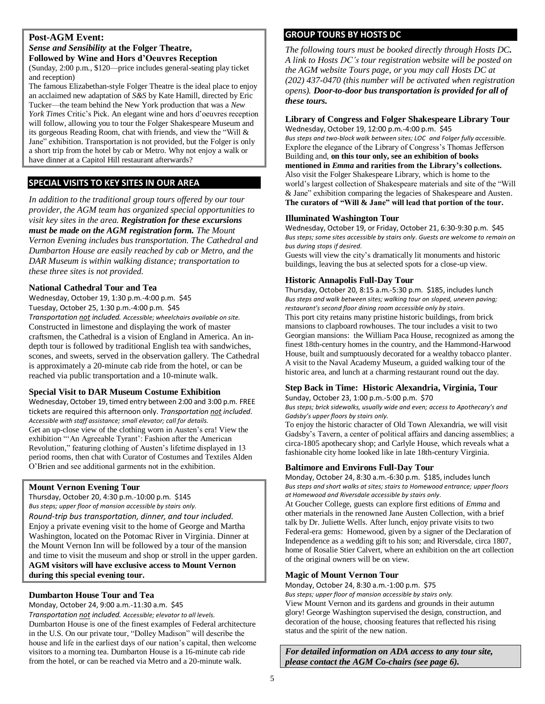# **Post-AGM Event:**

# *Sense and Sensibility* **at the Folger Theatre, Followed by Wine and Hors d'Oeuvres Reception**

(Sunday, 2:00 p.m., \$120—price includes general-seating play ticket and reception)

The famous Elizabethan-style Folger Theatre is the ideal place to enjoy an acclaimed new adaptation of *S&S* by Kate Hamill, directed by Eric Tucker—the team behind the New York production that was a *New York Times* Critic's Pick. An elegant wine and hors d'oeuvres reception will follow, allowing you to tour the Folger Shakespeare Museum and its gorgeous Reading Room, chat with friends, and view the "Will & Jane" exhibition. Transportation is not provided, but the Folger is only a short trip from the hotel by cab or Metro. Why not enjoy a walk or have dinner at a Capitol Hill restaurant afterwards?

# **SPECIAL VISITS TO KEY SITES IN OUR AREA**

*In addition to the traditional group tours offered by our tour provider, the AGM team has organized special opportunities to visit key sites in the area. Registration for these excursions must be made on the AGM registration form. The Mount Vernon Evening includes bus transportation. The Cathedral and Dumbarton House are easily reached by cab or Metro, and the DAR Museum is within walking distance; transportation to these three sites is not provided.*

#### **National Cathedral Tour and Tea**

Wednesday, October 19, 1:30 p.m.-4:00 p.m. \$45 Tuesday, October 25, 1:30 p.m.-4:00 p.m. \$45

*Transportation not included. Accessible; wheelchairs available on site.* Constructed in limestone and displaying the work of master craftsmen, the Cathedral is a vision of England in America. An indepth tour is followed by traditional English tea with sandwiches, scones, and sweets, served in the observation gallery. The Cathedral is approximately a 20-minute cab ride from the hotel, or can be reached via public transportation and a 10-minute walk.

#### **Special Visit to DAR Museum Costume Exhibition**

Wednesday, October 19, timed entry between 2:00 and 3:00 p.m. FREE tickets are required this afternoon only. *Transportation not included. Accessible with staff assistance; small elevator; call for details.* Get an up-close view of the clothing worn in Austen's era! View the exhibition "'An Agreeable Tyrant': Fashion after the American Revolution," featuring clothing of Austen's lifetime displayed in 13 period rooms, then chat with Curator of Costumes and Textiles Alden O'Brien and see additional garments not in the exhibition.

#### **Mount Vernon Evening Tour**

Thursday, October 20, 4:30 p.m.-10:00 p.m. \$145 *Bus steps; upper floor of mansion accessible by stairs only. Round-trip bus transportation, dinner, and tour included.*  Enjoy a private evening visit to the home of George and Martha Washington, located on the Potomac River in Virginia. Dinner at the Mount Vernon Inn will be followed by a tour of the mansion and time to visit the museum and shop or stroll in the upper garden. **AGM visitors will have exclusive access to Mount Vernon during this special evening tour.**

### **Dumbarton House Tour and Tea**

Monday, October 24, 9:00 a.m.-11:30 a.m. \$45 *Transportation not included. Accessible; elevator to all levels.* Dumbarton House is one of the finest examples of Federal architecture in the U.S. On our private tour, "Dolley Madison" will describe the house and life in the earliest days of our nation's capital, then welcome visitors to a morning tea. Dumbarton House is a 16-minute cab ride from the hotel, or can be reached via Metro and a 20-minute walk.

# **GROUP TOURS BY HOSTS DC**

*The following tours must be booked directly through Hosts DC. A link to Hosts DC's tour registration website will be posted on the AGM website Tours page, or you may call Hosts DC at (202) 437-0470 (this number will be activated when registration opens). Door-to-door bus transportation is provided for all of these tours.*

# **Library of Congress and Folger Shakespeare Library Tour**

Wednesday, October 19, 12:00 p.m.-4:00 p.m. \$45 *Bus steps and two-block walk between sites; LOC and Folger fully accessible.* Explore the elegance of the Library of Congress's Thomas Jefferson Building and, **on this tour only, see an exhibition of books mentioned in** *Emma* **and rarities from the Library's collections.**  Also visit the Folger Shakespeare Library, which is home to the world's largest collection of Shakespeare materials and site of the "Will & Jane" exhibition comparing the legacies of Shakespeare and Austen. **The curators of "Will & Jane" will lead that portion of the tour.** 

#### **Illuminated Washington Tour**

Wednesday, October 19, or Friday, October 21, 6:30-9:30 p.m. \$45 *Bus steps; some sites accessible by stairs only. Guests are welcome to remain on bus during stops if desired.*

Guests will view the city's dramatically lit monuments and historic buildings, leaving the bus at selected spots for a close-up view.

#### **Historic Annapolis Full-Day Tour**

Thursday, October 20, 8:15 a.m.-5:30 p.m. \$185, includes lunch *Bus steps and walk between sites; walking tour on sloped, uneven paving; restaurant's second floor dining room accessible only by stairs.* This port city retains many pristine historic buildings, from brick mansions to clapboard rowhouses. The tour includes a visit to two Georgian mansions: the William Paca House, recognized as among the finest 18th-century homes in the country, and the Hammond-Harwood House, built and sumptuously decorated for a wealthy tobacco planter. A visit to the Naval Academy Museum, a guided walking tour of the historic area, and lunch at a charming restaurant round out the day.

### **Step Back in Time: Historic Alexandria, Virginia, Tour**

Sunday, October 23, 1:00 p.m.-5:00 p.m. \$70

*Bus steps; brick sidewalks, usually wide and even; access to Apothecary's and Gadsby's upper floors by stairs only.*

To enjoy the historic character of Old Town Alexandria, we will visit Gadsby's Tavern, a center of political affairs and dancing assemblies; a circa-1805 apothecary shop; and Carlyle House, which reveals what a fashionable city home looked like in late 18th-century Virginia.

#### **Baltimore and Environs Full-Day Tour**

Monday, October 24, 8:30 a.m.-6:30 p.m. \$185, includes lunch *Bus steps and short walks at sites; stairs to Homewood entrance; upper floors at Homewood and Riversdale accessible by stairs only.*

At Goucher College, guests can explore first editions of *Emma* and other materials in the renowned Jane Austen Collection, with a brief talk by Dr. Juliette Wells. After lunch, enjoy private visits to two Federal-era gems: Homewood, given by a signer of the Declaration of Independence as a wedding gift to his son; and Riversdale, circa 1807, home of Rosalie Stier Calvert, where an exhibition on the art collection of the original owners will be on view.

#### **Magic of Mount Vernon Tour**

Monday, October 24, 8:30 a.m.-1:00 p.m. \$75

*Bus steps; upper floor of mansion accessible by stairs only.*

View Mount Vernon and its gardens and grounds in their autumn glory! George Washington supervised the design, construction, and decoration of the house, choosing features that reflected his rising status and the spirit of the new nation.

*For detailed information on ADA access to any tour site, please contact the AGM Co-chairs (see page 6).*